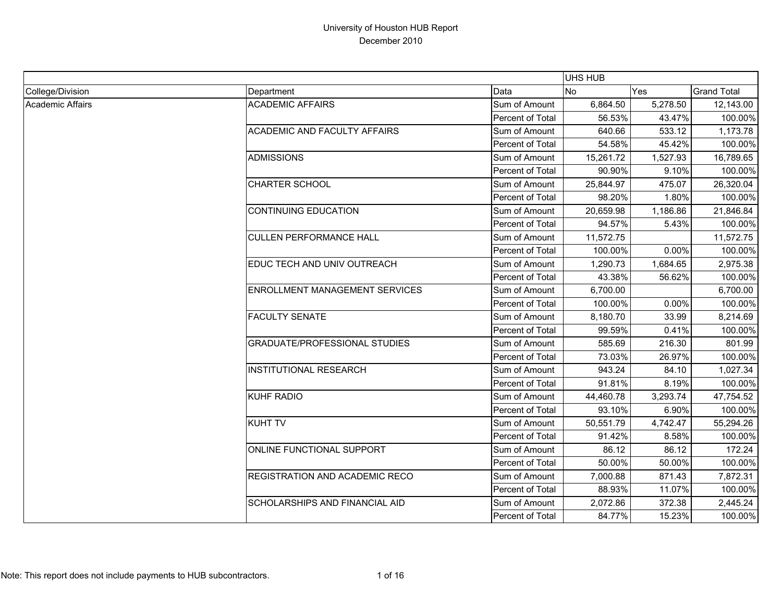|                         |                                       |                  | UHS HUB        |            |                    |
|-------------------------|---------------------------------------|------------------|----------------|------------|--------------------|
| College/Division        | Department                            | Data             | N <sub>o</sub> | <b>Yes</b> | <b>Grand Total</b> |
| <b>Academic Affairs</b> | <b>ACADEMIC AFFAIRS</b>               | Sum of Amount    | 6,864.50       | 5,278.50   | 12,143.00          |
|                         |                                       | Percent of Total | 56.53%         | 43.47%     | 100.00%            |
|                         | <b>ACADEMIC AND FACULTY AFFAIRS</b>   | Sum of Amount    | 640.66         | 533.12     | 1,173.78           |
|                         |                                       | Percent of Total | 54.58%         | 45.42%     | 100.00%            |
|                         | <b>ADMISSIONS</b>                     | Sum of Amount    | 15,261.72      | 1,527.93   | 16,789.65          |
|                         |                                       | Percent of Total | 90.90%         | 9.10%      | 100.00%            |
|                         | <b>CHARTER SCHOOL</b>                 | Sum of Amount    | 25,844.97      | 475.07     | 26,320.04          |
|                         |                                       | Percent of Total | 98.20%         | 1.80%      | 100.00%            |
|                         | <b>CONTINUING EDUCATION</b>           | Sum of Amount    | 20,659.98      | 1,186.86   | 21,846.84          |
|                         |                                       | Percent of Total | 94.57%         | 5.43%      | 100.00%            |
|                         | <b>CULLEN PERFORMANCE HALL</b>        | Sum of Amount    | 11,572.75      |            | 11,572.75          |
|                         |                                       | Percent of Total | 100.00%        | 0.00%      | 100.00%            |
|                         | EDUC TECH AND UNIV OUTREACH           | Sum of Amount    | 1,290.73       | 1,684.65   | 2,975.38           |
|                         |                                       | Percent of Total | 43.38%         | 56.62%     | 100.00%            |
|                         | <b>ENROLLMENT MANAGEMENT SERVICES</b> | Sum of Amount    | 6,700.00       |            | 6,700.00           |
|                         |                                       | Percent of Total | 100.00%        | 0.00%      | 100.00%            |
|                         | <b>FACULTY SENATE</b>                 | Sum of Amount    | 8,180.70       | 33.99      | 8,214.69           |
|                         |                                       | Percent of Total | 99.59%         | 0.41%      | 100.00%            |
|                         | <b>GRADUATE/PROFESSIONAL STUDIES</b>  | Sum of Amount    | 585.69         | 216.30     | 801.99             |
|                         |                                       | Percent of Total | 73.03%         | 26.97%     | 100.00%            |
|                         | <b>INSTITUTIONAL RESEARCH</b>         | Sum of Amount    | 943.24         | 84.10      | 1,027.34           |
|                         |                                       | Percent of Total | 91.81%         | 8.19%      | 100.00%            |
|                         | KUHF RADIO                            | Sum of Amount    | 44,460.78      | 3,293.74   | 47,754.52          |
|                         |                                       | Percent of Total | 93.10%         | 6.90%      | 100.00%            |
|                         | <b>KUHT TV</b>                        | Sum of Amount    | 50,551.79      | 4,742.47   | 55,294.26          |
|                         |                                       | Percent of Total | 91.42%         | 8.58%      | 100.00%            |
|                         | ONLINE FUNCTIONAL SUPPORT             | Sum of Amount    | 86.12          | 86.12      | 172.24             |
|                         |                                       | Percent of Total | 50.00%         | 50.00%     | 100.00%            |
|                         | REGISTRATION AND ACADEMIC RECO        | Sum of Amount    | 7,000.88       | 871.43     | 7,872.31           |
|                         |                                       | Percent of Total | 88.93%         | 11.07%     | 100.00%            |
|                         | <b>SCHOLARSHIPS AND FINANCIAL AID</b> | Sum of Amount    | 2,072.86       | 372.38     | 2,445.24           |
|                         |                                       | Percent of Total | 84.77%         | 15.23%     | 100.00%            |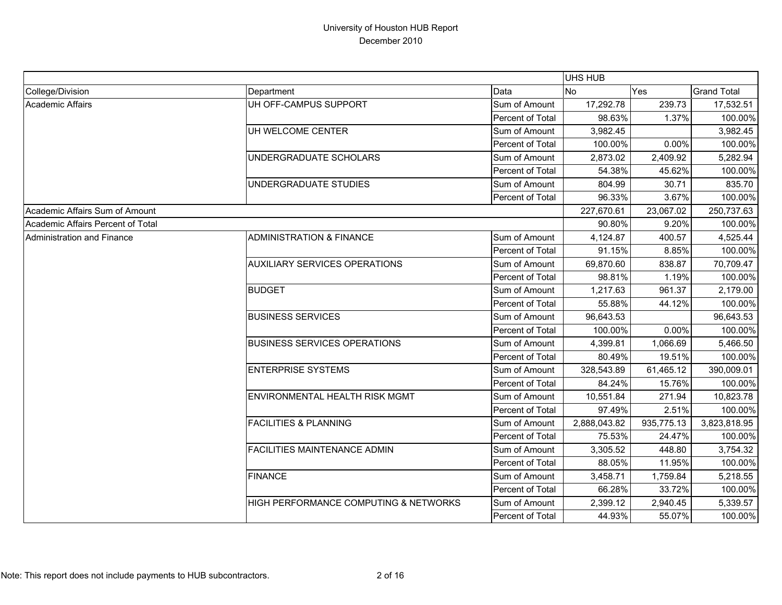|                                   |                                       |                  | <b>UHS HUB</b> |            |                    |
|-----------------------------------|---------------------------------------|------------------|----------------|------------|--------------------|
| College/Division                  | Department                            | Data             | <b>No</b>      | Yes        | <b>Grand Total</b> |
| Academic Affairs                  | UH OFF-CAMPUS SUPPORT                 | Sum of Amount    | 17,292.78      | 239.73     | 17,532.51          |
|                                   |                                       | Percent of Total | 98.63%         | 1.37%      | 100.00%            |
|                                   | UH WELCOME CENTER                     | Sum of Amount    | 3,982.45       |            | 3,982.45           |
|                                   |                                       | Percent of Total | 100.00%        | 0.00%      | 100.00%            |
|                                   | UNDERGRADUATE SCHOLARS                | Sum of Amount    | 2,873.02       | 2,409.92   | 5,282.94           |
|                                   |                                       | Percent of Total | 54.38%         | 45.62%     | 100.00%            |
|                                   | UNDERGRADUATE STUDIES                 | Sum of Amount    | 804.99         | 30.71      | 835.70             |
|                                   |                                       | Percent of Total | 96.33%         | 3.67%      | 100.00%            |
| Academic Affairs Sum of Amount    |                                       |                  | 227,670.61     | 23,067.02  | 250,737.63         |
| Academic Affairs Percent of Total |                                       |                  | 90.80%         | 9.20%      | 100.00%            |
| Administration and Finance        | <b>ADMINISTRATION &amp; FINANCE</b>   | Sum of Amount    | 4,124.87       | 400.57     | 4,525.44           |
|                                   |                                       | Percent of Total | 91.15%         | 8.85%      | 100.00%            |
|                                   | <b>AUXILIARY SERVICES OPERATIONS</b>  | Sum of Amount    | 69,870.60      | 838.87     | 70,709.47          |
|                                   |                                       | Percent of Total | 98.81%         | 1.19%      | 100.00%            |
|                                   | <b>BUDGET</b>                         | Sum of Amount    | 1,217.63       | 961.37     | 2,179.00           |
|                                   |                                       | Percent of Total | 55.88%         | 44.12%     | 100.00%            |
|                                   | <b>BUSINESS SERVICES</b>              | Sum of Amount    | 96,643.53      |            | 96,643.53          |
|                                   |                                       | Percent of Total | 100.00%        | 0.00%      | 100.00%            |
|                                   | <b>BUSINESS SERVICES OPERATIONS</b>   | Sum of Amount    | 4,399.81       | 1,066.69   | 5,466.50           |
|                                   |                                       | Percent of Total | 80.49%         | 19.51%     | 100.00%            |
|                                   | <b>ENTERPRISE SYSTEMS</b>             | Sum of Amount    | 328,543.89     | 61,465.12  | 390,009.01         |
|                                   |                                       | Percent of Total | 84.24%         | 15.76%     | 100.00%            |
|                                   | <b>ENVIRONMENTAL HEALTH RISK MGMT</b> | Sum of Amount    | 10,551.84      | 271.94     | 10,823.78          |
|                                   |                                       | Percent of Total | 97.49%         | 2.51%      | 100.00%            |
|                                   | <b>FACILITIES &amp; PLANNING</b>      | Sum of Amount    | 2,888,043.82   | 935,775.13 | 3,823,818.95       |
|                                   |                                       | Percent of Total | 75.53%         | 24.47%     | 100.00%            |
|                                   | <b>FACILITIES MAINTENANCE ADMIN</b>   | Sum of Amount    | 3,305.52       | 448.80     | 3,754.32           |
|                                   |                                       | Percent of Total | 88.05%         | 11.95%     | 100.00%            |
|                                   | <b>FINANCE</b>                        | Sum of Amount    | 3,458.71       | 1,759.84   | 5,218.55           |
|                                   |                                       | Percent of Total | 66.28%         | 33.72%     | 100.00%            |
|                                   | HIGH PERFORMANCE COMPUTING & NETWORKS | Sum of Amount    | 2,399.12       | 2,940.45   | 5,339.57           |
|                                   |                                       | Percent of Total | 44.93%         | 55.07%     | 100.00%            |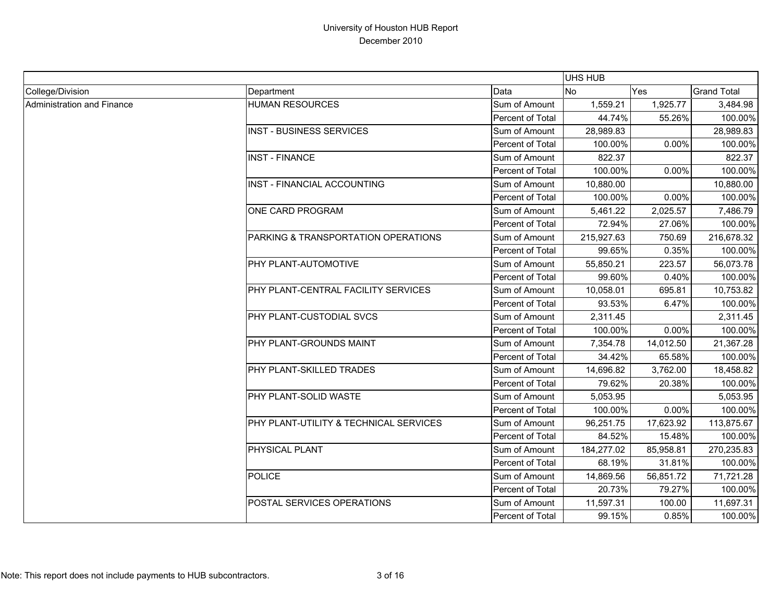|                            |                                        |                  | UHS HUB    |           |                    |
|----------------------------|----------------------------------------|------------------|------------|-----------|--------------------|
| College/Division           | Department                             | Data             | <b>INo</b> | Yes       | <b>Grand Total</b> |
| Administration and Finance | <b>HUMAN RESOURCES</b>                 | Sum of Amount    | 1,559.21   | 1,925.77  | 3,484.98           |
|                            |                                        | Percent of Total | 44.74%     | 55.26%    | 100.00%            |
|                            | <b>INST - BUSINESS SERVICES</b>        | Sum of Amount    | 28,989.83  |           | 28,989.83          |
|                            |                                        | Percent of Total | 100.00%    | 0.00%     | 100.00%            |
|                            | <b>INST - FINANCE</b>                  | Sum of Amount    | 822.37     |           | 822.37             |
|                            |                                        | Percent of Total | 100.00%    | 0.00%     | 100.00%            |
|                            | INST - FINANCIAL ACCOUNTING            | Sum of Amount    | 10,880.00  |           | 10,880.00          |
|                            |                                        | Percent of Total | 100.00%    | 0.00%     | 100.00%            |
|                            | ONE CARD PROGRAM                       | Sum of Amount    | 5,461.22   | 2,025.57  | 7,486.79           |
|                            |                                        | Percent of Total | 72.94%     | 27.06%    | 100.00%            |
|                            | PARKING & TRANSPORTATION OPERATIONS    | Sum of Amount    | 215,927.63 | 750.69    | 216,678.32         |
|                            |                                        | Percent of Total | 99.65%     | 0.35%     | 100.00%            |
|                            | PHY PLANT-AUTOMOTIVE                   | Sum of Amount    | 55,850.21  | 223.57    | 56,073.78          |
|                            |                                        | Percent of Total | 99.60%     | 0.40%     | 100.00%            |
|                            | PHY PLANT-CENTRAL FACILITY SERVICES    | Sum of Amount    | 10,058.01  | 695.81    | 10,753.82          |
|                            |                                        | Percent of Total | 93.53%     | 6.47%     | 100.00%            |
|                            | PHY PLANT-CUSTODIAL SVCS               | Sum of Amount    | 2,311.45   |           | 2,311.45           |
|                            |                                        | Percent of Total | 100.00%    | 0.00%     | 100.00%            |
|                            | PHY PLANT-GROUNDS MAINT                | Sum of Amount    | 7,354.78   | 14,012.50 | 21,367.28          |
|                            |                                        | Percent of Total | 34.42%     | 65.58%    | 100.00%            |
|                            | PHY PLANT-SKILLED TRADES               | Sum of Amount    | 14,696.82  | 3,762.00  | 18,458.82          |
|                            |                                        | Percent of Total | 79.62%     | 20.38%    | 100.00%            |
|                            | PHY PLANT-SOLID WASTE                  | Sum of Amount    | 5,053.95   |           | 5,053.95           |
|                            |                                        | Percent of Total | 100.00%    | 0.00%     | 100.00%            |
|                            | PHY PLANT-UTILITY & TECHNICAL SERVICES | Sum of Amount    | 96,251.75  | 17,623.92 | 113,875.67         |
|                            |                                        | Percent of Total | 84.52%     | 15.48%    | 100.00%            |
|                            | PHYSICAL PLANT                         | Sum of Amount    | 184,277.02 | 85,958.81 | 270,235.83         |
|                            |                                        | Percent of Total | 68.19%     | 31.81%    | 100.00%            |
|                            | <b>POLICE</b>                          | Sum of Amount    | 14,869.56  | 56,851.72 | 71,721.28          |
|                            |                                        | Percent of Total | 20.73%     | 79.27%    | 100.00%            |
|                            | POSTAL SERVICES OPERATIONS             | Sum of Amount    | 11,597.31  | 100.00    | 11,697.31          |
|                            |                                        | Percent of Total | 99.15%     | 0.85%     | 100.00%            |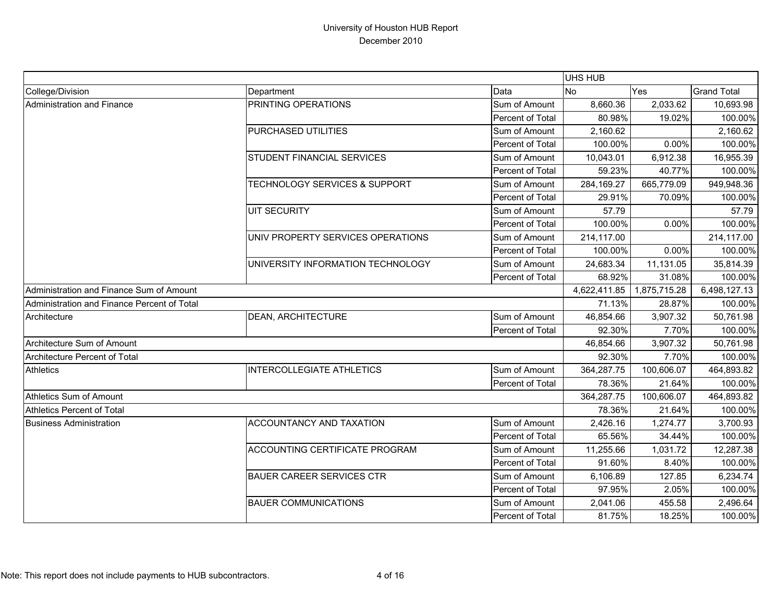|                                             |                                          |                  | UHS HUB      |              |                    |
|---------------------------------------------|------------------------------------------|------------------|--------------|--------------|--------------------|
| College/Division                            | Department                               | Data             | <b>No</b>    | Yes          | <b>Grand Total</b> |
| Administration and Finance                  | PRINTING OPERATIONS                      | Sum of Amount    | 8,660.36     | 2,033.62     | 10,693.98          |
|                                             |                                          | Percent of Total | 80.98%       | 19.02%       | 100.00%            |
|                                             | PURCHASED UTILITIES                      | Sum of Amount    | 2,160.62     |              | 2,160.62           |
|                                             |                                          | Percent of Total | 100.00%      | 0.00%        | 100.00%            |
|                                             | STUDENT FINANCIAL SERVICES               | Sum of Amount    | 10,043.01    | 6,912.38     | 16,955.39          |
|                                             |                                          | Percent of Total | 59.23%       | 40.77%       | 100.00%            |
|                                             | <b>TECHNOLOGY SERVICES &amp; SUPPORT</b> | Sum of Amount    | 284,169.27   | 665,779.09   | 949,948.36         |
|                                             |                                          | Percent of Total | 29.91%       | 70.09%       | 100.00%            |
|                                             | <b>UIT SECURITY</b>                      | Sum of Amount    | 57.79        |              | 57.79              |
|                                             |                                          | Percent of Total | 100.00%      | 0.00%        | 100.00%            |
|                                             | UNIV PROPERTY SERVICES OPERATIONS        | Sum of Amount    | 214,117.00   |              | 214,117.00         |
|                                             |                                          | Percent of Total | 100.00%      | 0.00%        | 100.00%            |
|                                             | UNIVERSITY INFORMATION TECHNOLOGY        | Sum of Amount    | 24,683.34    | 11,131.05    | 35,814.39          |
|                                             |                                          | Percent of Total | 68.92%       | 31.08%       | 100.00%            |
| Administration and Finance Sum of Amount    |                                          |                  | 4,622,411.85 | 1,875,715.28 | 6,498,127.13       |
| Administration and Finance Percent of Total |                                          |                  | 71.13%       | 28.87%       | 100.00%            |
| Architecture                                | <b>DEAN, ARCHITECTURE</b>                | Sum of Amount    | 46,854.66    | 3,907.32     | 50,761.98          |
|                                             |                                          | Percent of Total | 92.30%       | 7.70%        | 100.00%            |
| Architecture Sum of Amount                  |                                          |                  | 46,854.66    | 3,907.32     | 50,761.98          |
| Architecture Percent of Total               |                                          |                  | 92.30%       | 7.70%        | 100.00%            |
| <b>Athletics</b>                            | <b>INTERCOLLEGIATE ATHLETICS</b>         | Sum of Amount    | 364,287.75   | 100,606.07   | 464,893.82         |
|                                             |                                          | Percent of Total | 78.36%       | 21.64%       | 100.00%            |
| Athletics Sum of Amount                     |                                          |                  | 364,287.75   | 100,606.07   | 464,893.82         |
| <b>Athletics Percent of Total</b>           |                                          |                  | 78.36%       | 21.64%       | 100.00%            |
| <b>Business Administration</b>              | ACCOUNTANCY AND TAXATION                 | Sum of Amount    | 2,426.16     | 1,274.77     | 3,700.93           |
|                                             |                                          | Percent of Total | 65.56%       | 34.44%       | 100.00%            |
|                                             | ACCOUNTING CERTIFICATE PROGRAM           | Sum of Amount    | 11,255.66    | 1,031.72     | 12,287.38          |
|                                             |                                          | Percent of Total | 91.60%       | 8.40%        | 100.00%            |
|                                             | <b>BAUER CAREER SERVICES CTR</b>         | Sum of Amount    | 6,106.89     | 127.85       | 6,234.74           |
|                                             |                                          | Percent of Total | 97.95%       | 2.05%        | 100.00%            |
|                                             | <b>BAUER COMMUNICATIONS</b>              | Sum of Amount    | 2,041.06     | 455.58       | 2,496.64           |
|                                             |                                          | Percent of Total | 81.75%       | 18.25%       | 100.00%            |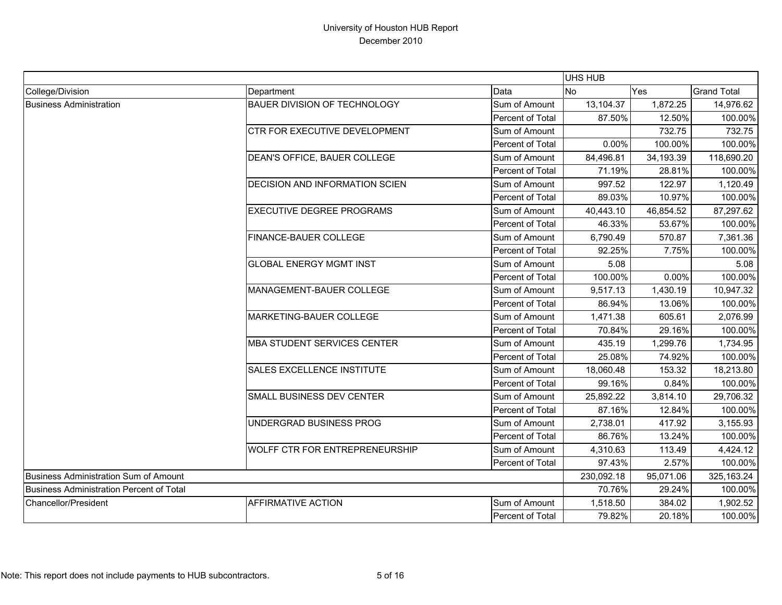|                                                 |                                  |                  | UHS HUB    |           |                    |
|-------------------------------------------------|----------------------------------|------------------|------------|-----------|--------------------|
| College/Division                                | Department                       | Data             | No         | Yes       | <b>Grand Total</b> |
| <b>Business Administration</b>                  | BAUER DIVISION OF TECHNOLOGY     | Sum of Amount    | 13,104.37  | 1,872.25  | 14,976.62          |
|                                                 |                                  | Percent of Total | 87.50%     | 12.50%    | 100.00%            |
|                                                 | CTR FOR EXECUTIVE DEVELOPMENT    | Sum of Amount    |            | 732.75    | 732.75             |
|                                                 |                                  | Percent of Total | 0.00%      | 100.00%   | 100.00%            |
|                                                 | DEAN'S OFFICE, BAUER COLLEGE     | Sum of Amount    | 84,496.81  | 34,193.39 | 118,690.20         |
|                                                 |                                  | Percent of Total | 71.19%     | 28.81%    | 100.00%            |
|                                                 | DECISION AND INFORMATION SCIEN   | Sum of Amount    | 997.52     | 122.97    | 1,120.49           |
|                                                 |                                  | Percent of Total | 89.03%     | 10.97%    | 100.00%            |
|                                                 | <b>EXECUTIVE DEGREE PROGRAMS</b> | Sum of Amount    | 40,443.10  | 46,854.52 | 87,297.62          |
|                                                 |                                  | Percent of Total | 46.33%     | 53.67%    | 100.00%            |
|                                                 | FINANCE-BAUER COLLEGE            | Sum of Amount    | 6,790.49   | 570.87    | 7,361.36           |
|                                                 |                                  | Percent of Total | 92.25%     | 7.75%     | 100.00%            |
|                                                 | <b>GLOBAL ENERGY MGMT INST</b>   | Sum of Amount    | 5.08       |           | 5.08               |
|                                                 |                                  | Percent of Total | 100.00%    | 0.00%     | 100.00%            |
|                                                 | MANAGEMENT-BAUER COLLEGE         | Sum of Amount    | 9,517.13   | 1,430.19  | 10,947.32          |
|                                                 |                                  | Percent of Total | 86.94%     | 13.06%    | 100.00%            |
|                                                 | MARKETING-BAUER COLLEGE          | Sum of Amount    | 1,471.38   | 605.61    | 2,076.99           |
|                                                 |                                  | Percent of Total | 70.84%     | 29.16%    | 100.00%            |
|                                                 | MBA STUDENT SERVICES CENTER      | Sum of Amount    | 435.19     | 1,299.76  | 1,734.95           |
|                                                 |                                  | Percent of Total | 25.08%     | 74.92%    | 100.00%            |
|                                                 | SALES EXCELLENCE INSTITUTE       | Sum of Amount    | 18,060.48  | 153.32    | 18,213.80          |
|                                                 |                                  | Percent of Total | 99.16%     | 0.84%     | 100.00%            |
|                                                 | SMALL BUSINESS DEV CENTER        | Sum of Amount    | 25,892.22  | 3,814.10  | 29,706.32          |
|                                                 |                                  | Percent of Total | 87.16%     | 12.84%    | 100.00%            |
|                                                 | UNDERGRAD BUSINESS PROG          | Sum of Amount    | 2,738.01   | 417.92    | 3,155.93           |
|                                                 |                                  | Percent of Total | 86.76%     | 13.24%    | 100.00%            |
|                                                 | WOLFF CTR FOR ENTREPRENEURSHIP   | Sum of Amount    | 4,310.63   | 113.49    | 4,424.12           |
|                                                 |                                  | Percent of Total | 97.43%     | 2.57%     | 100.00%            |
| Business Administration Sum of Amount           |                                  |                  | 230,092.18 | 95,071.06 | 325,163.24         |
| <b>Business Administration Percent of Total</b> |                                  |                  | 70.76%     | 29.24%    | 100.00%            |
| Chancellor/President                            | <b>AFFIRMATIVE ACTION</b>        | Sum of Amount    | 1,518.50   | 384.02    | 1,902.52           |
|                                                 |                                  | Percent of Total | 79.82%     | 20.18%    | 100.00%            |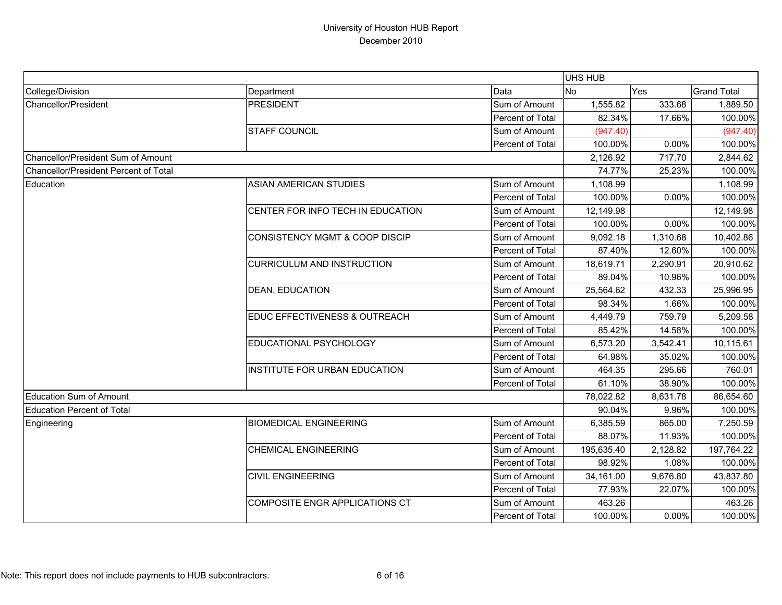|                                       |                                       |                  | UHS HUB    |          |                    |
|---------------------------------------|---------------------------------------|------------------|------------|----------|--------------------|
| College/Division                      | Department                            | Data             | <b>No</b>  | Yes      | <b>Grand Total</b> |
| Chancellor/President                  | <b>PRESIDENT</b>                      | Sum of Amount    | 1,555.82   | 333.68   | 1,889.50           |
|                                       |                                       | Percent of Total | 82.34%     | 17.66%   | 100.00%            |
|                                       | <b>STAFF COUNCIL</b>                  | Sum of Amount    | (947.40)   |          | (947.40)           |
|                                       |                                       | Percent of Total | 100.00%    | 0.00%    | 100.00%            |
| Chancellor/President Sum of Amount    |                                       |                  | 2,126.92   | 717.70   | 2,844.62           |
| Chancellor/President Percent of Total |                                       |                  | 74.77%     | 25.23%   | 100.00%            |
| Education                             | <b>ASIAN AMERICAN STUDIES</b>         | Sum of Amount    | 1,108.99   |          | 1,108.99           |
|                                       |                                       | Percent of Total | 100.00%    | 0.00%    | 100.00%            |
|                                       | CENTER FOR INFO TECH IN EDUCATION     | Sum of Amount    | 12,149.98  |          | 12,149.98          |
|                                       |                                       | Percent of Total | 100.00%    | 0.00%    | 100.00%            |
|                                       | CONSISTENCY MGMT & COOP DISCIP        | Sum of Amount    | 9,092.18   | 1,310.68 | 10,402.86          |
|                                       |                                       | Percent of Total | 87.40%     | 12.60%   | 100.00%            |
|                                       | <b>CURRICULUM AND INSTRUCTION</b>     | Sum of Amount    | 18,619.71  | 2,290.91 | 20,910.62          |
|                                       |                                       | Percent of Total | 89.04%     | 10.96%   | 100.00%            |
|                                       | <b>DEAN, EDUCATION</b>                | Sum of Amount    | 25,564.62  | 432.33   | 25,996.95          |
|                                       |                                       | Percent of Total | 98.34%     | 1.66%    | 100.00%            |
|                                       | EDUC EFFECTIVENESS & OUTREACH         | Sum of Amount    | 4,449.79   | 759.79   | 5,209.58           |
|                                       |                                       | Percent of Total | 85.42%     | 14.58%   | 100.00%            |
|                                       | EDUCATIONAL PSYCHOLOGY                | Sum of Amount    | 6,573.20   | 3,542.41 | 10,115.61          |
|                                       |                                       | Percent of Total | 64.98%     | 35.02%   | 100.00%            |
|                                       | INSTITUTE FOR URBAN EDUCATION         | Sum of Amount    | 464.35     | 295.66   | 760.01             |
|                                       |                                       | Percent of Total | 61.10%     | 38.90%   | 100.00%            |
| <b>Education Sum of Amount</b>        |                                       |                  | 78,022.82  | 8,631.78 | 86,654.60          |
| <b>Education Percent of Total</b>     |                                       |                  | 90.04%     | 9.96%    | 100.00%            |
| Engineering                           | <b>BIOMEDICAL ENGINEERING</b>         | Sum of Amount    | 6,385.59   | 865.00   | 7,250.59           |
|                                       |                                       | Percent of Total | 88.07%     | 11.93%   | 100.00%            |
|                                       | <b>CHEMICAL ENGINEERING</b>           | Sum of Amount    | 195,635.40 | 2,128.82 | 197,764.22         |
|                                       |                                       | Percent of Total | 98.92%     | 1.08%    | 100.00%            |
|                                       | <b>CIVIL ENGINEERING</b>              | Sum of Amount    | 34,161.00  | 9,676.80 | 43,837.80          |
|                                       |                                       | Percent of Total | 77.93%     | 22.07%   | 100.00%            |
|                                       | <b>COMPOSITE ENGR APPLICATIONS CT</b> | Sum of Amount    | 463.26     |          | 463.26             |
|                                       |                                       | Percent of Total | 100.00%    | 0.00%    | 100.00%            |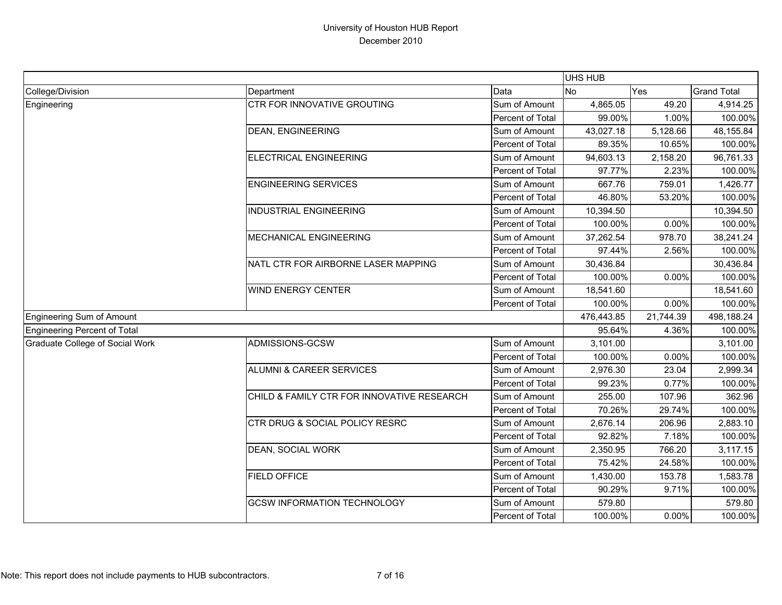|                                 |                                            |                  | UHS HUB    |           |                    |
|---------------------------------|--------------------------------------------|------------------|------------|-----------|--------------------|
| College/Division                | Department                                 | Data             | <b>No</b>  | Yes       | <b>Grand Total</b> |
| Engineering                     | <b>CTR FOR INNOVATIVE GROUTING</b>         | Sum of Amount    | 4,865.05   | 49.20     | 4,914.25           |
|                                 |                                            | Percent of Total | 99.00%     | 1.00%     | 100.00%            |
|                                 | <b>DEAN, ENGINEERING</b>                   | Sum of Amount    | 43,027.18  | 5,128.66  | 48,155.84          |
|                                 |                                            | Percent of Total | 89.35%     | 10.65%    | 100.00%            |
|                                 | ELECTRICAL ENGINEERING                     | Sum of Amount    | 94,603.13  | 2,158.20  | 96,761.33          |
|                                 |                                            | Percent of Total | 97.77%     | 2.23%     | 100.00%            |
|                                 | <b>ENGINEERING SERVICES</b>                | Sum of Amount    | 667.76     | 759.01    | 1,426.77           |
|                                 |                                            | Percent of Total | 46.80%     | 53.20%    | 100.00%            |
|                                 | <b>INDUSTRIAL ENGINEERING</b>              | Sum of Amount    | 10,394.50  |           | 10,394.50          |
|                                 |                                            | Percent of Total | 100.00%    | 0.00%     | 100.00%            |
|                                 | <b>MECHANICAL ENGINEERING</b>              | Sum of Amount    | 37,262.54  | 978.70    | 38,241.24          |
|                                 |                                            | Percent of Total | 97.44%     | 2.56%     | 100.00%            |
|                                 | NATL CTR FOR AIRBORNE LASER MAPPING        | Sum of Amount    | 30,436.84  |           | 30,436.84          |
|                                 |                                            | Percent of Total | 100.00%    | 0.00%     | 100.00%            |
|                                 | <b>WIND ENERGY CENTER</b>                  | Sum of Amount    | 18,541.60  |           | 18,541.60          |
|                                 |                                            | Percent of Total | 100.00%    | 0.00%     | 100.00%            |
| Engineering Sum of Amount       |                                            |                  | 476,443.85 | 21,744.39 | 498,188.24         |
| Engineering Percent of Total    |                                            |                  | 95.64%     | 4.36%     | 100.00%            |
| Graduate College of Social Work | ADMISSIONS-GCSW                            | Sum of Amount    | 3,101.00   |           | 3,101.00           |
|                                 |                                            | Percent of Total | 100.00%    | 0.00%     | 100.00%            |
|                                 | <b>ALUMNI &amp; CAREER SERVICES</b>        | Sum of Amount    | 2,976.30   | 23.04     | 2,999.34           |
|                                 |                                            | Percent of Total | 99.23%     | 0.77%     | 100.00%            |
|                                 | CHILD & FAMILY CTR FOR INNOVATIVE RESEARCH | Sum of Amount    | 255.00     | 107.96    | 362.96             |
|                                 |                                            | Percent of Total | 70.26%     | 29.74%    | 100.00%            |
|                                 | CTR DRUG & SOCIAL POLICY RESRC             | Sum of Amount    | 2,676.14   | 206.96    | 2,883.10           |
|                                 |                                            | Percent of Total | 92.82%     | 7.18%     | 100.00%            |
|                                 | DEAN, SOCIAL WORK                          | Sum of Amount    | 2,350.95   | 766.20    | 3,117.15           |
|                                 |                                            | Percent of Total | 75.42%     | 24.58%    | 100.00%            |
|                                 | <b>FIELD OFFICE</b>                        | Sum of Amount    | 1,430.00   | 153.78    | 1,583.78           |
|                                 |                                            | Percent of Total | 90.29%     | 9.71%     | 100.00%            |
|                                 | <b>GCSW INFORMATION TECHNOLOGY</b>         | Sum of Amount    | 579.80     |           | 579.80             |
|                                 |                                            | Percent of Total | 100.00%    | 0.00%     | 100.00%            |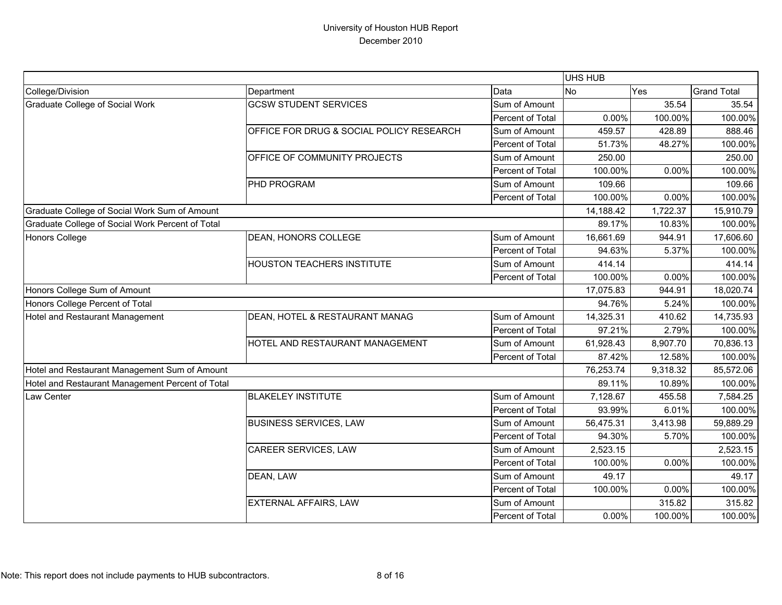|                                                  |                                          |                  | UHS HUB   |          |                    |
|--------------------------------------------------|------------------------------------------|------------------|-----------|----------|--------------------|
| College/Division                                 | Department                               | Data             | <b>No</b> | Yes      | <b>Grand Total</b> |
| <b>Graduate College of Social Work</b>           | <b>GCSW STUDENT SERVICES</b>             | Sum of Amount    |           | 35.54    | 35.54              |
|                                                  |                                          | Percent of Total | 0.00%     | 100.00%  | 100.00%            |
|                                                  | OFFICE FOR DRUG & SOCIAL POLICY RESEARCH | Sum of Amount    | 459.57    | 428.89   | 888.46             |
|                                                  |                                          | Percent of Total | 51.73%    | 48.27%   | 100.00%            |
|                                                  | OFFICE OF COMMUNITY PROJECTS             | Sum of Amount    | 250.00    |          | 250.00             |
|                                                  |                                          | Percent of Total | 100.00%   | 0.00%    | 100.00%            |
|                                                  | PHD PROGRAM                              | Sum of Amount    | 109.66    |          | 109.66             |
|                                                  |                                          | Percent of Total | 100.00%   | 0.00%    | 100.00%            |
| Graduate College of Social Work Sum of Amount    |                                          |                  | 14,188.42 | 1,722.37 | 15,910.79          |
| Graduate College of Social Work Percent of Total |                                          |                  | 89.17%    | 10.83%   | 100.00%            |
| <b>Honors College</b>                            | DEAN, HONORS COLLEGE                     | Sum of Amount    | 16,661.69 | 944.91   | 17,606.60          |
|                                                  |                                          | Percent of Total | 94.63%    | 5.37%    | 100.00%            |
|                                                  | <b>HOUSTON TEACHERS INSTITUTE</b>        | Sum of Amount    | 414.14    |          | 414.14             |
|                                                  |                                          | Percent of Total | 100.00%   | 0.00%    | 100.00%            |
| Honors College Sum of Amount                     |                                          |                  | 17,075.83 | 944.91   | 18,020.74          |
| Honors College Percent of Total                  |                                          |                  | 94.76%    | 5.24%    | 100.00%            |
| Hotel and Restaurant Management                  | DEAN, HOTEL & RESTAURANT MANAG           | Sum of Amount    | 14,325.31 | 410.62   | 14,735.93          |
|                                                  |                                          | Percent of Total | 97.21%    | 2.79%    | 100.00%            |
|                                                  | HOTEL AND RESTAURANT MANAGEMENT          | Sum of Amount    | 61,928.43 | 8,907.70 | 70,836.13          |
|                                                  |                                          | Percent of Total | 87.42%    | 12.58%   | 100.00%            |
| Hotel and Restaurant Management Sum of Amount    |                                          |                  | 76,253.74 | 9,318.32 | 85,572.06          |
| Hotel and Restaurant Management Percent of Total |                                          |                  | 89.11%    | 10.89%   | 100.00%            |
| Law Center                                       | <b>BLAKELEY INSTITUTE</b>                | Sum of Amount    | 7,128.67  | 455.58   | 7,584.25           |
|                                                  |                                          | Percent of Total | 93.99%    | 6.01%    | 100.00%            |
|                                                  | <b>BUSINESS SERVICES, LAW</b>            | Sum of Amount    | 56,475.31 | 3,413.98 | 59,889.29          |
|                                                  |                                          | Percent of Total | 94.30%    | 5.70%    | 100.00%            |
|                                                  | CAREER SERVICES, LAW                     | Sum of Amount    | 2,523.15  |          | 2,523.15           |
|                                                  |                                          | Percent of Total | 100.00%   | 0.00%    | 100.00%            |
|                                                  | DEAN, LAW                                | Sum of Amount    | 49.17     |          | 49.17              |
|                                                  |                                          | Percent of Total | 100.00%   | 0.00%    | 100.00%            |
|                                                  | EXTERNAL AFFAIRS, LAW                    | Sum of Amount    |           | 315.82   | 315.82             |
|                                                  |                                          | Percent of Total | $0.00\%$  | 100.00%  | 100.00%            |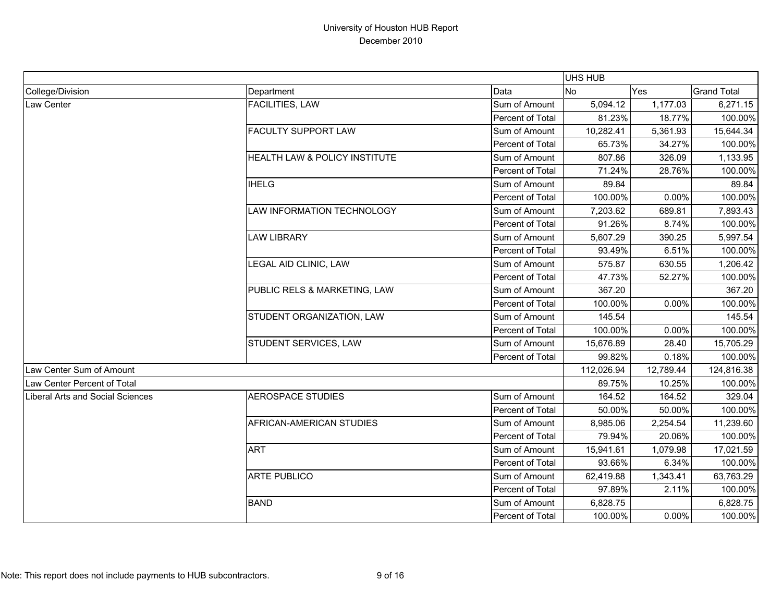|                                  |                               |                  | UHS HUB    |           |                    |
|----------------------------------|-------------------------------|------------------|------------|-----------|--------------------|
| College/Division                 | Department                    | Data             | <b>No</b>  | Yes       | <b>Grand Total</b> |
| Law Center                       | <b>FACILITIES, LAW</b>        | Sum of Amount    | 5,094.12   | 1,177.03  | 6,271.15           |
|                                  |                               | Percent of Total | 81.23%     | 18.77%    | 100.00%            |
|                                  | <b>FACULTY SUPPORT LAW</b>    | Sum of Amount    | 10,282.41  | 5,361.93  | 15,644.34          |
|                                  |                               | Percent of Total | 65.73%     | 34.27%    | 100.00%            |
|                                  | HEALTH LAW & POLICY INSTITUTE | Sum of Amount    | 807.86     | 326.09    | 1,133.95           |
|                                  |                               | Percent of Total | 71.24%     | 28.76%    | 100.00%            |
|                                  | <b>IHELG</b>                  | Sum of Amount    | 89.84      |           | 89.84              |
|                                  |                               | Percent of Total | 100.00%    | 0.00%     | 100.00%            |
|                                  | LAW INFORMATION TECHNOLOGY    | Sum of Amount    | 7,203.62   | 689.81    | 7,893.43           |
|                                  |                               | Percent of Total | 91.26%     | 8.74%     | 100.00%            |
|                                  | <b>LAW LIBRARY</b>            | Sum of Amount    | 5,607.29   | 390.25    | 5,997.54           |
|                                  |                               | Percent of Total | 93.49%     | 6.51%     | 100.00%            |
|                                  | LEGAL AID CLINIC, LAW         | Sum of Amount    | 575.87     | 630.55    | 1,206.42           |
|                                  |                               | Percent of Total | 47.73%     | 52.27%    | 100.00%            |
|                                  | PUBLIC RELS & MARKETING, LAW  | Sum of Amount    | 367.20     |           | 367.20             |
|                                  |                               | Percent of Total | 100.00%    | 0.00%     | 100.00%            |
|                                  | STUDENT ORGANIZATION, LAW     | Sum of Amount    | 145.54     |           | 145.54             |
|                                  |                               | Percent of Total | 100.00%    | 0.00%     | 100.00%            |
|                                  | STUDENT SERVICES, LAW         | Sum of Amount    | 15,676.89  | 28.40     | 15,705.29          |
|                                  |                               | Percent of Total | 99.82%     | 0.18%     | 100.00%            |
| Law Center Sum of Amount         |                               |                  | 112,026.94 | 12,789.44 | 124,816.38         |
| Law Center Percent of Total      |                               |                  | 89.75%     | 10.25%    | 100.00%            |
| Liberal Arts and Social Sciences | <b>AEROSPACE STUDIES</b>      | Sum of Amount    | 164.52     | 164.52    | 329.04             |
|                                  |                               | Percent of Total | 50.00%     | 50.00%    | 100.00%            |
|                                  | AFRICAN-AMERICAN STUDIES      | Sum of Amount    | 8,985.06   | 2,254.54  | 11,239.60          |
|                                  |                               | Percent of Total | 79.94%     | 20.06%    | 100.00%            |
|                                  | <b>ART</b>                    | Sum of Amount    | 15,941.61  | 1,079.98  | 17,021.59          |
|                                  |                               | Percent of Total | 93.66%     | 6.34%     | 100.00%            |
|                                  | <b>ARTE PUBLICO</b>           | Sum of Amount    | 62,419.88  | 1,343.41  | 63,763.29          |
|                                  |                               | Percent of Total | 97.89%     | 2.11%     | 100.00%            |
|                                  | <b>BAND</b>                   | Sum of Amount    | 6,828.75   |           | 6,828.75           |
|                                  |                               | Percent of Total | 100.00%    | 0.00%     | 100.00%            |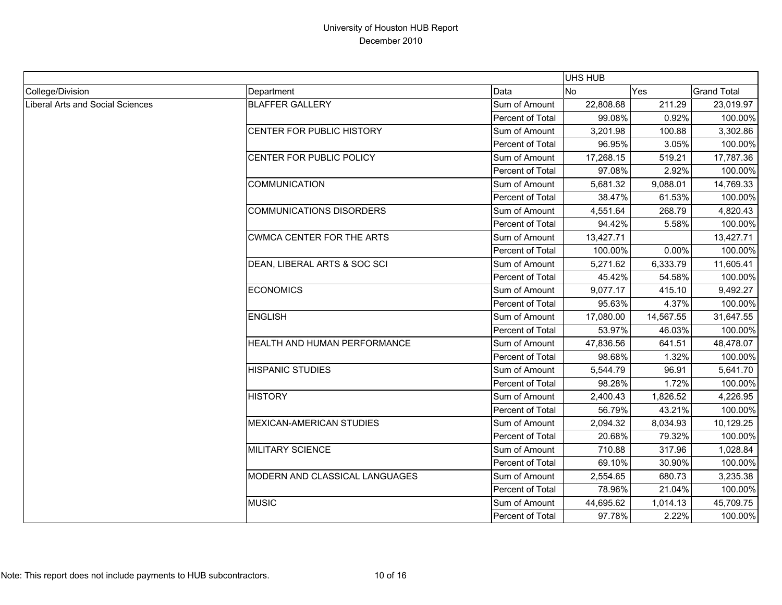|                                  |                                  |                  | <b>UHS HUB</b> |           |                    |
|----------------------------------|----------------------------------|------------------|----------------|-----------|--------------------|
| College/Division                 | Department                       | Data             | <b>No</b>      | Yes       | <b>Grand Total</b> |
| Liberal Arts and Social Sciences | <b>BLAFFER GALLERY</b>           | Sum of Amount    | 22,808.68      | 211.29    | 23,019.97          |
|                                  |                                  | Percent of Total | 99.08%         | 0.92%     | 100.00%            |
|                                  | CENTER FOR PUBLIC HISTORY        | Sum of Amount    | 3,201.98       | 100.88    | 3,302.86           |
|                                  |                                  | Percent of Total | 96.95%         | 3.05%     | 100.00%            |
|                                  | CENTER FOR PUBLIC POLICY         | Sum of Amount    | 17,268.15      | 519.21    | 17,787.36          |
|                                  |                                  | Percent of Total | 97.08%         | 2.92%     | 100.00%            |
|                                  | <b>COMMUNICATION</b>             | Sum of Amount    | 5,681.32       | 9,088.01  | 14,769.33          |
|                                  |                                  | Percent of Total | 38.47%         | 61.53%    | 100.00%            |
|                                  | <b>COMMUNICATIONS DISORDERS</b>  | Sum of Amount    | 4,551.64       | 268.79    | 4,820.43           |
|                                  |                                  | Percent of Total | 94.42%         | 5.58%     | 100.00%            |
|                                  | <b>CWMCA CENTER FOR THE ARTS</b> | Sum of Amount    | 13,427.71      |           | 13,427.71          |
|                                  |                                  | Percent of Total | 100.00%        | 0.00%     | 100.00%            |
|                                  | DEAN, LIBERAL ARTS & SOC SCI     | Sum of Amount    | 5,271.62       | 6,333.79  | 11,605.41          |
|                                  |                                  | Percent of Total | 45.42%         | 54.58%    | 100.00%            |
|                                  | <b>ECONOMICS</b>                 | Sum of Amount    | 9,077.17       | 415.10    | 9,492.27           |
|                                  |                                  | Percent of Total | 95.63%         | 4.37%     | 100.00%            |
|                                  | <b>ENGLISH</b>                   | Sum of Amount    | 17,080.00      | 14,567.55 | 31,647.55          |
|                                  |                                  | Percent of Total | 53.97%         | 46.03%    | 100.00%            |
|                                  | HEALTH AND HUMAN PERFORMANCE     | Sum of Amount    | 47,836.56      | 641.51    | 48,478.07          |
|                                  |                                  | Percent of Total | 98.68%         | 1.32%     | 100.00%            |
|                                  | <b>HISPANIC STUDIES</b>          | Sum of Amount    | 5,544.79       | 96.91     | 5,641.70           |
|                                  |                                  | Percent of Total | 98.28%         | 1.72%     | 100.00%            |
|                                  | <b>HISTORY</b>                   | Sum of Amount    | 2,400.43       | 1,826.52  | 4,226.95           |
|                                  |                                  | Percent of Total | 56.79%         | 43.21%    | 100.00%            |
|                                  | <b>MEXICAN-AMERICAN STUDIES</b>  | Sum of Amount    | 2,094.32       | 8,034.93  | 10,129.25          |
|                                  |                                  | Percent of Total | 20.68%         | 79.32%    | 100.00%            |
|                                  | <b>MILITARY SCIENCE</b>          | Sum of Amount    | 710.88         | 317.96    | 1,028.84           |
|                                  |                                  | Percent of Total | 69.10%         | 30.90%    | 100.00%            |
|                                  | MODERN AND CLASSICAL LANGUAGES   | Sum of Amount    | 2,554.65       | 680.73    | 3,235.38           |
|                                  |                                  | Percent of Total | 78.96%         | 21.04%    | 100.00%            |
|                                  | <b>MUSIC</b>                     | Sum of Amount    | 44,695.62      | 1,014.13  | 45,709.75          |
|                                  |                                  | Percent of Total | 97.78%         | 2.22%     | 100.00%            |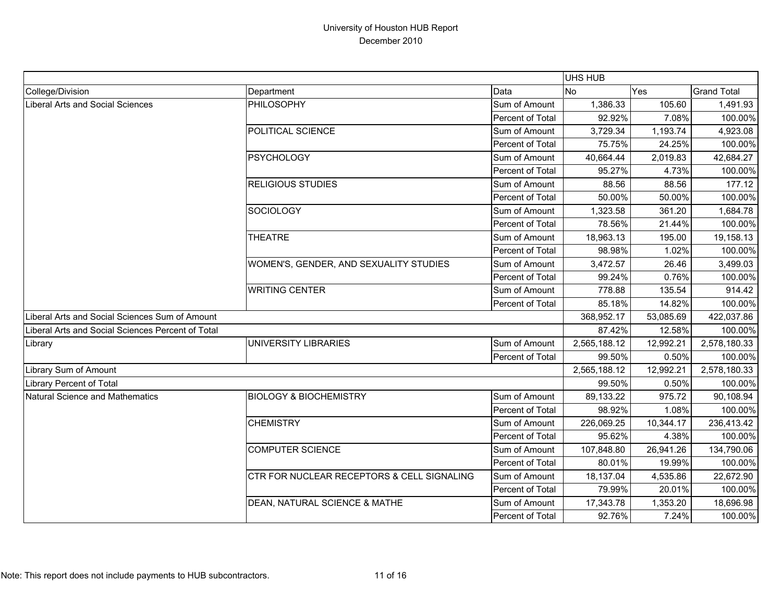|                                                   |                                            |                  | UHS HUB      |           |                    |
|---------------------------------------------------|--------------------------------------------|------------------|--------------|-----------|--------------------|
| College/Division                                  | Department                                 | Data             | <b>No</b>    | Yes       | <b>Grand Total</b> |
| Liberal Arts and Social Sciences                  | PHILOSOPHY                                 | Sum of Amount    | 1,386.33     | 105.60    | 1,491.93           |
|                                                   |                                            | Percent of Total | 92.92%       | 7.08%     | 100.00%            |
|                                                   | POLITICAL SCIENCE                          | Sum of Amount    | 3,729.34     | 1,193.74  | 4,923.08           |
|                                                   |                                            | Percent of Total | 75.75%       | 24.25%    | 100.00%            |
|                                                   | <b>PSYCHOLOGY</b>                          | Sum of Amount    | 40,664.44    | 2,019.83  | 42,684.27          |
|                                                   |                                            | Percent of Total | 95.27%       | 4.73%     | 100.00%            |
|                                                   | <b>RELIGIOUS STUDIES</b>                   | Sum of Amount    | 88.56        | 88.56     | 177.12             |
|                                                   |                                            | Percent of Total | 50.00%       | 50.00%    | 100.00%            |
|                                                   | <b>SOCIOLOGY</b>                           | Sum of Amount    | 1,323.58     | 361.20    | 1,684.78           |
|                                                   |                                            | Percent of Total | 78.56%       | 21.44%    | 100.00%            |
|                                                   | <b>THEATRE</b>                             | Sum of Amount    | 18,963.13    | 195.00    | 19,158.13          |
|                                                   |                                            | Percent of Total | 98.98%       | 1.02%     | 100.00%            |
|                                                   | WOMEN'S, GENDER, AND SEXUALITY STUDIES     | Sum of Amount    | 3,472.57     | 26.46     | 3,499.03           |
|                                                   |                                            | Percent of Total | 99.24%       | 0.76%     | 100.00%            |
|                                                   | <b>WRITING CENTER</b>                      | Sum of Amount    | 778.88       | 135.54    | 914.42             |
|                                                   |                                            | Percent of Total | 85.18%       | 14.82%    | 100.00%            |
| Liberal Arts and Social Sciences Sum of Amount    |                                            |                  | 368,952.17   | 53,085.69 | 422,037.86         |
| Liberal Arts and Social Sciences Percent of Total |                                            |                  | 87.42%       | 12.58%    | 100.00%            |
| Library                                           | UNIVERSITY LIBRARIES                       | Sum of Amount    | 2,565,188.12 | 12,992.21 | 2,578,180.33       |
|                                                   |                                            | Percent of Total | 99.50%       | 0.50%     | 100.00%            |
| Library Sum of Amount                             |                                            |                  | 2,565,188.12 | 12,992.21 | 2,578,180.33       |
| Library Percent of Total                          |                                            |                  | 99.50%       | 0.50%     | 100.00%            |
| Natural Science and Mathematics                   | <b>BIOLOGY &amp; BIOCHEMISTRY</b>          | Sum of Amount    | 89,133.22    | 975.72    | 90,108.94          |
|                                                   |                                            | Percent of Total | 98.92%       | 1.08%     | 100.00%            |
|                                                   | <b>CHEMISTRY</b>                           | Sum of Amount    | 226,069.25   | 10,344.17 | 236,413.42         |
|                                                   |                                            | Percent of Total | 95.62%       | 4.38%     | 100.00%            |
|                                                   | <b>COMPUTER SCIENCE</b>                    | Sum of Amount    | 107,848.80   | 26,941.26 | 134,790.06         |
|                                                   |                                            | Percent of Total | 80.01%       | 19.99%    | 100.00%            |
|                                                   | CTR FOR NUCLEAR RECEPTORS & CELL SIGNALING | Sum of Amount    | 18,137.04    | 4,535.86  | 22,672.90          |
|                                                   |                                            | Percent of Total | 79.99%       | 20.01%    | 100.00%            |
|                                                   | DEAN, NATURAL SCIENCE & MATHE              | Sum of Amount    | 17,343.78    | 1,353.20  | 18,696.98          |
|                                                   |                                            | Percent of Total | 92.76%       | 7.24%     | 100.00%            |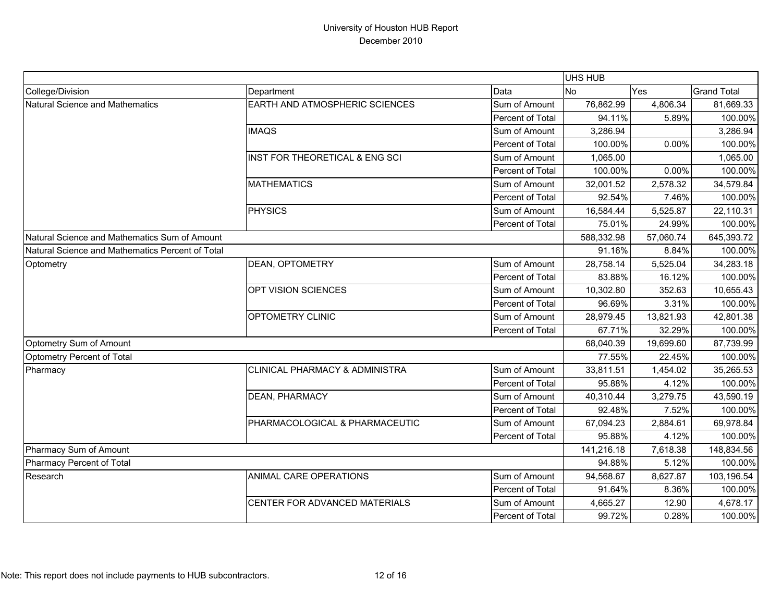|                                                  |                                           |                  | <b>UHS HUB</b> |           |                    |
|--------------------------------------------------|-------------------------------------------|------------------|----------------|-----------|--------------------|
| College/Division                                 | Department                                | Data             | <b>No</b>      | Yes       | <b>Grand Total</b> |
| Natural Science and Mathematics                  | EARTH AND ATMOSPHERIC SCIENCES            | Sum of Amount    | 76,862.99      | 4,806.34  | 81,669.33          |
|                                                  |                                           | Percent of Total | 94.11%         | 5.89%     | 100.00%            |
|                                                  | <b>IMAQS</b>                              | Sum of Amount    | 3,286.94       |           | 3,286.94           |
|                                                  |                                           | Percent of Total | 100.00%        | 0.00%     | 100.00%            |
|                                                  | INST FOR THEORETICAL & ENG SCI            | Sum of Amount    | 1,065.00       |           | 1,065.00           |
|                                                  |                                           | Percent of Total | 100.00%        | 0.00%     | 100.00%            |
|                                                  | <b>MATHEMATICS</b>                        | Sum of Amount    | 32,001.52      | 2,578.32  | 34,579.84          |
|                                                  |                                           | Percent of Total | 92.54%         | 7.46%     | 100.00%            |
|                                                  | <b>PHYSICS</b>                            | Sum of Amount    | 16,584.44      | 5,525.87  | 22,110.31          |
|                                                  |                                           | Percent of Total | 75.01%         | 24.99%    | 100.00%            |
| Natural Science and Mathematics Sum of Amount    |                                           |                  | 588,332.98     | 57,060.74 | 645,393.72         |
| Natural Science and Mathematics Percent of Total |                                           |                  | 91.16%         | 8.84%     | 100.00%            |
| Optometry                                        | DEAN, OPTOMETRY                           | Sum of Amount    | 28,758.14      | 5,525.04  | 34,283.18          |
|                                                  |                                           | Percent of Total | 83.88%         | 16.12%    | 100.00%            |
|                                                  | OPT VISION SCIENCES                       | Sum of Amount    | 10,302.80      | 352.63    | 10,655.43          |
|                                                  |                                           | Percent of Total | 96.69%         | 3.31%     | 100.00%            |
|                                                  | OPTOMETRY CLINIC                          | Sum of Amount    | 28,979.45      | 13,821.93 | 42,801.38          |
|                                                  |                                           | Percent of Total | 67.71%         | 32.29%    | 100.00%            |
| Optometry Sum of Amount                          |                                           |                  | 68,040.39      | 19,699.60 | 87,739.99          |
| Optometry Percent of Total                       |                                           |                  | 77.55%         | 22.45%    | 100.00%            |
| Pharmacy                                         | <b>CLINICAL PHARMACY &amp; ADMINISTRA</b> | Sum of Amount    | 33,811.51      | 1,454.02  | 35,265.53          |
|                                                  |                                           | Percent of Total | 95.88%         | 4.12%     | 100.00%            |
|                                                  | <b>DEAN, PHARMACY</b>                     | Sum of Amount    | 40,310.44      | 3,279.75  | 43,590.19          |
|                                                  |                                           | Percent of Total | 92.48%         | 7.52%     | 100.00%            |
|                                                  | PHARMACOLOGICAL & PHARMACEUTIC            | Sum of Amount    | 67,094.23      | 2,884.61  | 69,978.84          |
|                                                  |                                           | Percent of Total | 95.88%         | 4.12%     | 100.00%            |
| Pharmacy Sum of Amount                           |                                           |                  | 141,216.18     | 7,618.38  | 148,834.56         |
| Pharmacy Percent of Total                        |                                           |                  | 94.88%         | 5.12%     | 100.00%            |
| Research                                         | ANIMAL CARE OPERATIONS                    | Sum of Amount    | 94,568.67      | 8,627.87  | 103,196.54         |
|                                                  |                                           | Percent of Total | 91.64%         | 8.36%     | 100.00%            |
|                                                  | CENTER FOR ADVANCED MATERIALS             | Sum of Amount    | 4,665.27       | 12.90     | 4,678.17           |
|                                                  |                                           | Percent of Total | 99.72%         | 0.28%     | 100.00%            |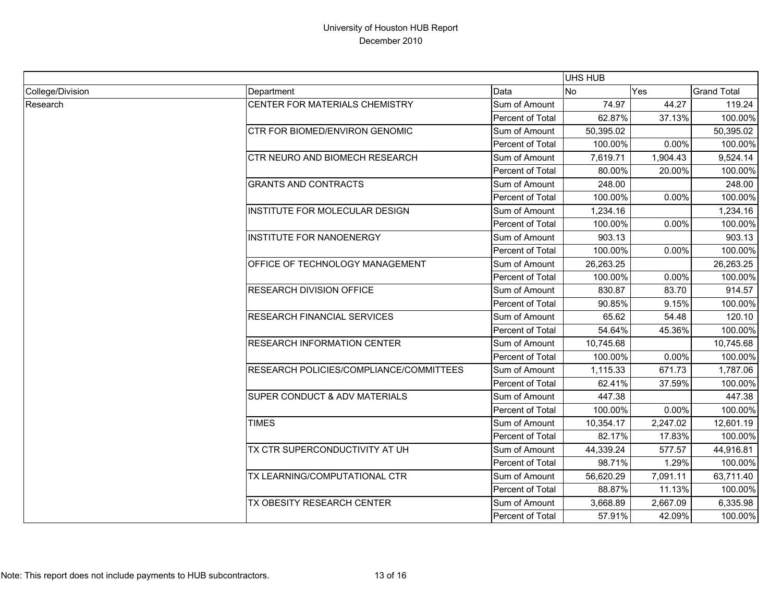|                  |                                         |                  | UHS HUB   |          |                    |
|------------------|-----------------------------------------|------------------|-----------|----------|--------------------|
| College/Division | Department                              | Data             | No        | Yes      | <b>Grand Total</b> |
| Research         | CENTER FOR MATERIALS CHEMISTRY          | Sum of Amount    | 74.97     | 44.27    | 119.24             |
|                  |                                         | Percent of Total | 62.87%    | 37.13%   | 100.00%            |
|                  | CTR FOR BIOMED/ENVIRON GENOMIC          | Sum of Amount    | 50,395.02 |          | 50,395.02          |
|                  |                                         | Percent of Total | 100.00%   | 0.00%    | 100.00%            |
|                  | CTR NEURO AND BIOMECH RESEARCH          | Sum of Amount    | 7,619.71  | 1,904.43 | 9,524.14           |
|                  |                                         | Percent of Total | 80.00%    | 20.00%   | 100.00%            |
|                  | <b>GRANTS AND CONTRACTS</b>             | Sum of Amount    | 248.00    |          | 248.00             |
|                  |                                         | Percent of Total | 100.00%   | 0.00%    | 100.00%            |
|                  | INSTITUTE FOR MOLECULAR DESIGN          | Sum of Amount    | 1,234.16  |          | 1,234.16           |
|                  |                                         | Percent of Total | 100.00%   | 0.00%    | 100.00%            |
|                  | <b>INSTITUTE FOR NANOENERGY</b>         | Sum of Amount    | 903.13    |          | 903.13             |
|                  |                                         | Percent of Total | 100.00%   | 0.00%    | 100.00%            |
|                  | OFFICE OF TECHNOLOGY MANAGEMENT         | Sum of Amount    | 26,263.25 |          | 26,263.25          |
|                  |                                         | Percent of Total | 100.00%   | 0.00%    | 100.00%            |
|                  | <b>RESEARCH DIVISION OFFICE</b>         | Sum of Amount    | 830.87    | 83.70    | 914.57             |
|                  |                                         | Percent of Total | 90.85%    | 9.15%    | 100.00%            |
|                  | <b>RESEARCH FINANCIAL SERVICES</b>      | Sum of Amount    | 65.62     | 54.48    | 120.10             |
|                  |                                         | Percent of Total | 54.64%    | 45.36%   | 100.00%            |
|                  | <b>RESEARCH INFORMATION CENTER</b>      | Sum of Amount    | 10,745.68 |          | 10,745.68          |
|                  |                                         | Percent of Total | 100.00%   | 0.00%    | 100.00%            |
|                  | RESEARCH POLICIES/COMPLIANCE/COMMITTEES | Sum of Amount    | 1,115.33  | 671.73   | 1,787.06           |
|                  |                                         | Percent of Total | 62.41%    | 37.59%   | 100.00%            |
|                  | SUPER CONDUCT & ADV MATERIALS           | Sum of Amount    | 447.38    |          | 447.38             |
|                  |                                         | Percent of Total | 100.00%   | 0.00%    | 100.00%            |
|                  | <b>TIMES</b>                            | Sum of Amount    | 10,354.17 | 2,247.02 | 12,601.19          |
|                  |                                         | Percent of Total | 82.17%    | 17.83%   | 100.00%            |
|                  | TX CTR SUPERCONDUCTIVITY AT UH          | Sum of Amount    | 44,339.24 | 577.57   | 44,916.81          |
|                  |                                         | Percent of Total | 98.71%    | 1.29%    | 100.00%            |
|                  | TX LEARNING/COMPUTATIONAL CTR           | Sum of Amount    | 56,620.29 | 7,091.11 | 63,711.40          |
|                  |                                         | Percent of Total | 88.87%    | 11.13%   | 100.00%            |
|                  | TX OBESITY RESEARCH CENTER              | Sum of Amount    | 3,668.89  | 2,667.09 | 6,335.98           |
|                  |                                         | Percent of Total | 57.91%    | 42.09%   | 100.00%            |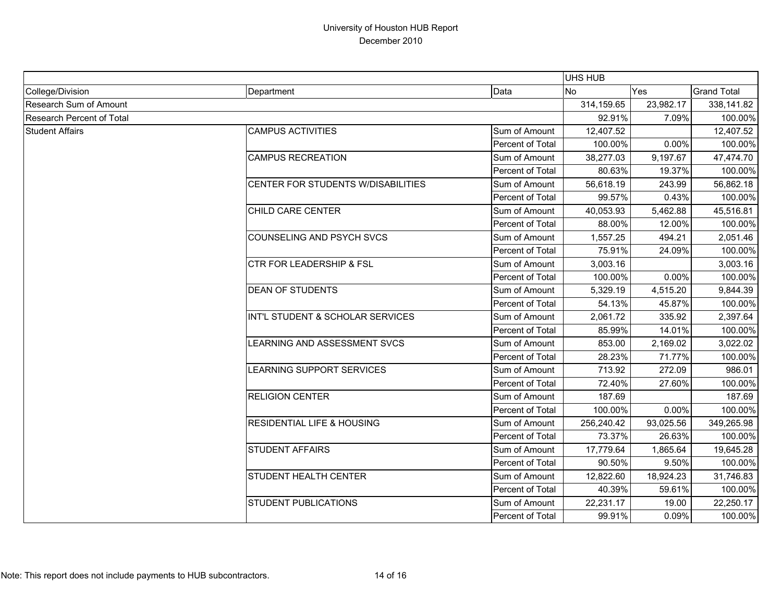|                                  |                                       |                  | <b>UHS HUB</b> |           |                    |
|----------------------------------|---------------------------------------|------------------|----------------|-----------|--------------------|
| College/Division                 | Department                            | Data             | <b>INo</b>     | Yes       | <b>Grand Total</b> |
| Research Sum of Amount           |                                       |                  | 314,159.65     | 23,982.17 | 338,141.82         |
| <b>Research Percent of Total</b> |                                       |                  | 92.91%         | 7.09%     | 100.00%            |
| <b>Student Affairs</b>           | <b>CAMPUS ACTIVITIES</b>              | Sum of Amount    | 12,407.52      |           | 12,407.52          |
|                                  |                                       | Percent of Total | 100.00%        | 0.00%     | 100.00%            |
|                                  | <b>CAMPUS RECREATION</b>              | Sum of Amount    | 38,277.03      | 9,197.67  | 47,474.70          |
|                                  |                                       | Percent of Total | 80.63%         | 19.37%    | 100.00%            |
|                                  | CENTER FOR STUDENTS W/DISABILITIES    | Sum of Amount    | 56,618.19      | 243.99    | 56,862.18          |
|                                  |                                       | Percent of Total | 99.57%         | 0.43%     | 100.00%            |
|                                  | CHILD CARE CENTER                     | Sum of Amount    | 40,053.93      | 5,462.88  | 45,516.81          |
|                                  |                                       | Percent of Total | 88.00%         | 12.00%    | 100.00%            |
|                                  | <b>COUNSELING AND PSYCH SVCS</b>      | Sum of Amount    | 1,557.25       | 494.21    | 2,051.46           |
|                                  |                                       | Percent of Total | 75.91%         | 24.09%    | 100.00%            |
|                                  | <b>CTR FOR LEADERSHIP &amp; FSL</b>   | Sum of Amount    | 3,003.16       |           | 3,003.16           |
|                                  |                                       | Percent of Total | 100.00%        | 0.00%     | 100.00%            |
|                                  | <b>DEAN OF STUDENTS</b>               | Sum of Amount    | 5,329.19       | 4,515.20  | 9,844.39           |
|                                  |                                       | Percent of Total | 54.13%         | 45.87%    | 100.00%            |
|                                  | INT'L STUDENT & SCHOLAR SERVICES      | Sum of Amount    | 2,061.72       | 335.92    | 2,397.64           |
|                                  |                                       | Percent of Total | 85.99%         | 14.01%    | 100.00%            |
|                                  | <b>LEARNING AND ASSESSMENT SVCS</b>   | Sum of Amount    | 853.00         | 2,169.02  | 3,022.02           |
|                                  |                                       | Percent of Total | 28.23%         | 71.77%    | 100.00%            |
|                                  | <b>EARNING SUPPORT SERVICES</b>       | Sum of Amount    | 713.92         | 272.09    | 986.01             |
|                                  |                                       | Percent of Total | 72.40%         | 27.60%    | 100.00%            |
|                                  | <b>RELIGION CENTER</b>                | Sum of Amount    | 187.69         |           | 187.69             |
|                                  |                                       | Percent of Total | 100.00%        | 0.00%     | 100.00%            |
|                                  | <b>RESIDENTIAL LIFE &amp; HOUSING</b> | Sum of Amount    | 256,240.42     | 93,025.56 | 349,265.98         |
|                                  |                                       | Percent of Total | 73.37%         | 26.63%    | 100.00%            |
|                                  | <b>STUDENT AFFAIRS</b>                | Sum of Amount    | 17,779.64      | 1,865.64  | 19,645.28          |
|                                  |                                       | Percent of Total | 90.50%         | 9.50%     | 100.00%            |
|                                  | <b>STUDENT HEALTH CENTER</b>          | Sum of Amount    | 12,822.60      | 18,924.23 | 31,746.83          |
|                                  |                                       | Percent of Total | 40.39%         | 59.61%    | 100.00%            |
|                                  | <b>STUDENT PUBLICATIONS</b>           | Sum of Amount    | 22,231.17      | 19.00     | 22,250.17          |
|                                  |                                       | Percent of Total | 99.91%         | 0.09%     | 100.00%            |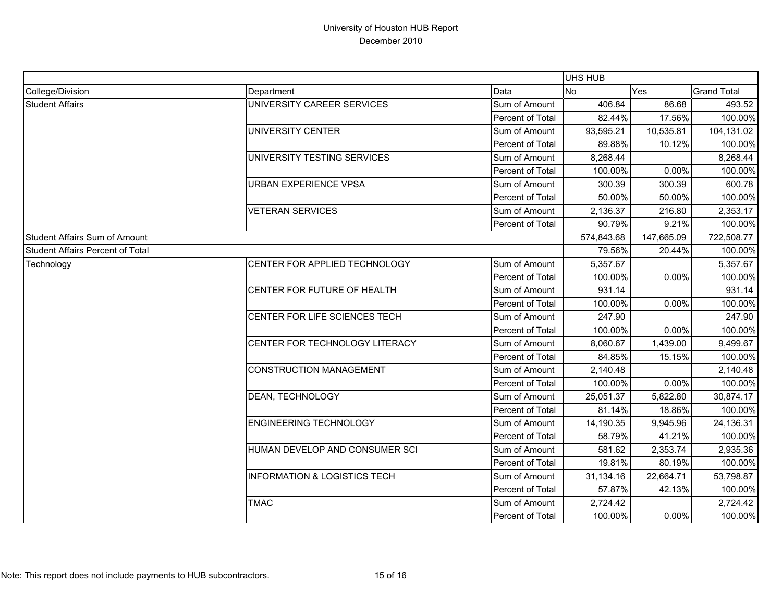|                                         |                                         |                  | UHS HUB    |            |                    |
|-----------------------------------------|-----------------------------------------|------------------|------------|------------|--------------------|
| College/Division                        | Department                              | Data             | <b>No</b>  | Yes        | <b>Grand Total</b> |
| <b>Student Affairs</b>                  | UNIVERSITY CAREER SERVICES              | Sum of Amount    | 406.84     | 86.68      | 493.52             |
|                                         |                                         | Percent of Total | 82.44%     | 17.56%     | 100.00%            |
|                                         | UNIVERSITY CENTER                       | Sum of Amount    | 93,595.21  | 10,535.81  | 104,131.02         |
|                                         |                                         | Percent of Total | 89.88%     | 10.12%     | 100.00%            |
|                                         | UNIVERSITY TESTING SERVICES             | Sum of Amount    | 8,268.44   |            | 8,268.44           |
|                                         |                                         | Percent of Total | 100.00%    | 0.00%      | 100.00%            |
|                                         | <b>URBAN EXPERIENCE VPSA</b>            | Sum of Amount    | 300.39     | 300.39     | 600.78             |
|                                         |                                         | Percent of Total | 50.00%     | 50.00%     | 100.00%            |
|                                         | <b>VETERAN SERVICES</b>                 | Sum of Amount    | 2,136.37   | 216.80     | 2,353.17           |
|                                         |                                         | Percent of Total | 90.79%     | 9.21%      | 100.00%            |
| <b>Student Affairs Sum of Amount</b>    |                                         |                  | 574,843.68 | 147,665.09 | 722,508.77         |
| <b>Student Affairs Percent of Total</b> |                                         |                  | 79.56%     | 20.44%     | 100.00%            |
| Technology                              | CENTER FOR APPLIED TECHNOLOGY           | Sum of Amount    | 5,357.67   |            | 5,357.67           |
|                                         |                                         | Percent of Total | 100.00%    | 0.00%      | 100.00%            |
|                                         | CENTER FOR FUTURE OF HEALTH             | Sum of Amount    | 931.14     |            | 931.14             |
|                                         |                                         | Percent of Total | 100.00%    | 0.00%      | 100.00%            |
|                                         | CENTER FOR LIFE SCIENCES TECH           | Sum of Amount    | 247.90     |            | 247.90             |
|                                         |                                         | Percent of Total | 100.00%    | 0.00%      | 100.00%            |
|                                         | CENTER FOR TECHNOLOGY LITERACY          | Sum of Amount    | 8,060.67   | 1,439.00   | 9,499.67           |
|                                         |                                         | Percent of Total | 84.85%     | 15.15%     | 100.00%            |
|                                         | <b>CONSTRUCTION MANAGEMENT</b>          | Sum of Amount    | 2,140.48   |            | 2,140.48           |
|                                         |                                         | Percent of Total | 100.00%    | 0.00%      | 100.00%            |
|                                         | DEAN, TECHNOLOGY                        | Sum of Amount    | 25,051.37  | 5,822.80   | 30,874.17          |
|                                         |                                         | Percent of Total | 81.14%     | 18.86%     | 100.00%            |
|                                         | <b>ENGINEERING TECHNOLOGY</b>           | Sum of Amount    | 14,190.35  | 9,945.96   | 24,136.31          |
|                                         |                                         | Percent of Total | 58.79%     | 41.21%     | 100.00%            |
|                                         | HUMAN DEVELOP AND CONSUMER SCI          | Sum of Amount    | 581.62     | 2,353.74   | 2,935.36           |
|                                         |                                         | Percent of Total | 19.81%     | 80.19%     | 100.00%            |
|                                         | <b>INFORMATION &amp; LOGISTICS TECH</b> | Sum of Amount    | 31,134.16  | 22,664.71  | 53,798.87          |
|                                         |                                         | Percent of Total | 57.87%     | 42.13%     | 100.00%            |
|                                         | <b>TMAC</b>                             | Sum of Amount    | 2,724.42   |            | 2,724.42           |
|                                         |                                         | Percent of Total | 100.00%    | 0.00%      | 100.00%            |